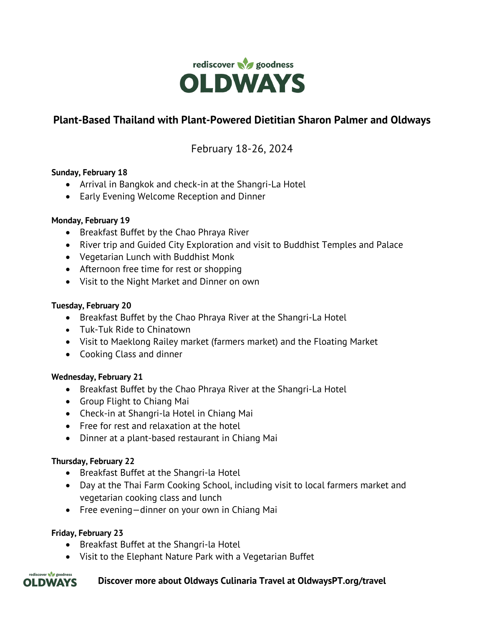

# **Plant-Based Thailand with Plant-Powered Dietitian Sharon Palmer and Oldways**

# February 18-26, 2024

### **Sunday, February 18**

- Arrival in Bangkok and check-in at the Shangri-La Hotel
- Early Evening Welcome Reception and Dinner

#### **Monday, February 19**

- Breakfast Buffet by the Chao Phraya River
- River trip and Guided City Exploration and visit to Buddhist Temples and Palace
- Vegetarian Lunch with Buddhist Monk
- Afternoon free time for rest or shopping
- Visit to the Night Market and Dinner on own

#### **Tuesday, February 20**

- Breakfast Buffet by the Chao Phraya River at the Shangri-La Hotel
- Tuk-Tuk Ride to Chinatown
- Visit to Maeklong Railey market (farmers market) and the Floating Market
- Cooking Class and dinner

### **Wednesday, February 21**

- Breakfast Buffet by the Chao Phraya River at the Shangri-La Hotel
- Group Flight to Chiang Mai
- Check-in at Shangri-la Hotel in Chiang Mai
- Free for rest and relaxation at the hotel
- Dinner at a plant-based restaurant in Chiang Mai

### **Thursday, February 22**

- Breakfast Buffet at the Shangri-la Hotel
- Day at the Thai Farm Cooking School, including visit to local farmers market and vegetarian cooking class and lunch
- Free evening—dinner on your own in Chiang Mai

### **Friday, February 23**

- Breakfast Buffet at the Shangri-la Hotel
- Visit to the Elephant Nature Park with a Vegetarian Buffet

#### rediscover of goodness **Discover more about Oldways Culinaria Travel at OldwaysPT.org/travel OLDWAYS**